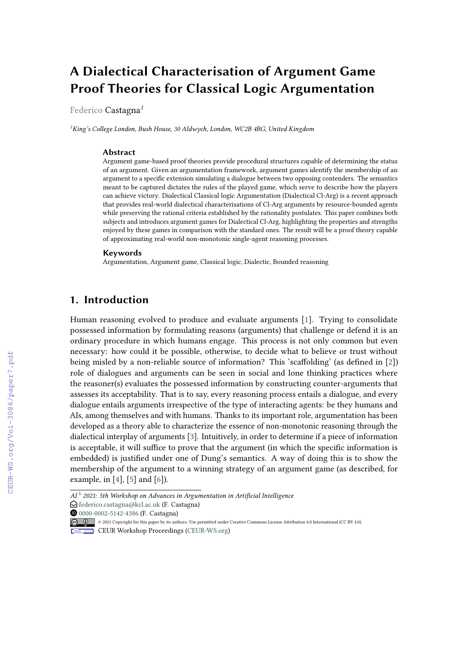# **A Dialectical Characterisation of Argument Game Proof Theories for Classical Logic Argumentation**

Federico Castagna*<sup>1</sup>*

*<sup>1</sup>King's College London, Bush House, 30 Aldwych, London, WC2B 4BG, United Kingdom*

#### **Abstract**

Argument game-based proof theories provide procedural structures capable of determining the status of an argument. Given an argumentation framework, argument games identify the membership of an argument to a specific extension simulating a dialogue between two opposing contenders. The semantics meant to be captured dictates the rules of the played game, which serve to describe how the players can achieve victory. Dialectical Classical logic Argumentation (Dialectical Cl-Arg) is a recent approach that provides real-world dialectical characterisations of Cl-Arg arguments by resource-bounded agents while preserving the rational criteria established by the rationality postulates. This paper combines both subjects and introduces argument games for Dialectical Cl-Arg, highlighting the properties and strengths enjoyed by these games in comparison with the standard ones. The result will be a proof theory capable of approximating real-world non-monotonic single-agent reasoning processes.

#### **Keywords**

Argumentation, Argument game, Classical logic, Dialectic, Bounded reasoning

### **1. Introduction**

Human reasoning evolved to produce and evaluate arguments [\[1\]](#page--1-0). Trying to consolidate possessed information by formulating reasons (arguments) that challenge or defend it is an ordinary procedure in which humans engage. This process is not only common but even necessary: how could it be possible, otherwise, to decide what to believe or trust without being misled by a non-reliable source of information? This 'scaffolding' (as defined in [\[2\]](#page--1-1)) role of dialogues and arguments can be seen in social and lone thinking practices where the reasoner(s) evaluates the possessed information by constructing counter-arguments that assesses its acceptability. That is to say, every reasoning process entails a dialogue, and every dialogue entails arguments irrespective of the type of interacting agents: be they humans and AIs, among themselves and with humans. Thanks to its important role, argumentation has been developed as a theory able to characterize the essence of non-monotonic reasoning through the dialectical interplay of arguments [\[3\]](#page--1-2). Intuitively, in order to determine if a piece of information is acceptable, it will suffice to prove that the argument (in which the specific information is embedded) is justified under one of Dung's semantics. A way of doing this is to show the membership of the argument to a winning strategy of an argument game (as described, for example, in [\[4\]](#page--1-3), [\[5\]](#page--1-4) and [\[6\]](#page--1-5)).

- © 2021 Copyright for this paper by its authors. Use permitted under Creative Commons License Attribution 4.0 International (CC BY 4.0).
- CEUR Workshop [Proceedings](http://ceur-ws.org) [\(CEUR-WS.org\)](http://ceur-ws.org)

*AI* <sup>3</sup> *2021: 5th Workshop on Advances in Argumentation in Artificial Intelligence*

 $\bigcirc$  [federico.castagna@kcl.ac.uk](mailto:federico.castagna@kcl.ac.uk) (F. Castagna)

**O** [0000-0002-5142-4386](https://orcid.org/0000-0002-5142-4386) (F. Castagna)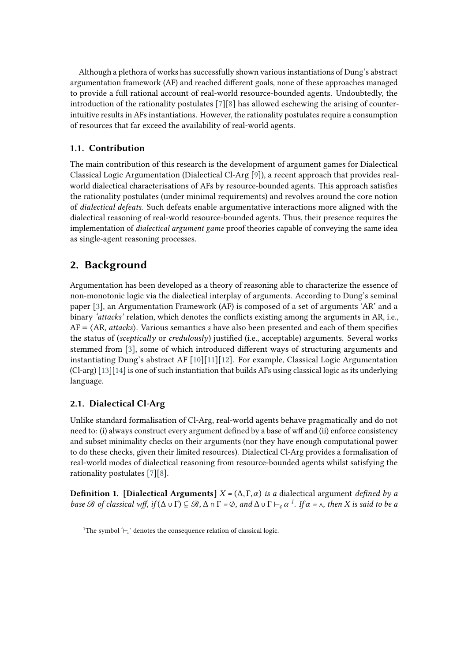Although a plethora of works has successfully shown various instantiations of Dung's abstract argumentation framework (AF) and reached different goals, none of these approaches managed to provide a full rational account of real-world resource-bounded agents. Undoubtedly, the introduction of the rationality postulates [\[7\]](#page-14-0)[\[8\]](#page-14-1) has allowed eschewing the arising of counterintuitive results in AFs instantiations. However, the rationality postulates require a consumption of resources that far exceed the availability of real-world agents.

### **1.1. Contribution**

The main contribution of this research is the development of argument games for Dialectical Classical Logic Argumentation (Dialectical Cl-Arg [\[9\]](#page-14-2)), a recent approach that provides realworld dialectical characterisations of AFs by resource-bounded agents. This approach satisfies the rationality postulates (under minimal requirements) and revolves around the core notion of *dialectical defeats*. Such defeats enable argumentative interactions more aligned with the dialectical reasoning of real-world resource-bounded agents. Thus, their presence requires the implementation of *dialectical argument game* proof theories capable of conveying the same idea as single-agent reasoning processes.

## **2. Background**

Argumentation has been developed as a theory of reasoning able to characterize the essence of non-monotonic logic via the dialectical interplay of arguments. According to Dung's seminal paper [\[3\]](#page-13-0), an Argumentation Framework (AF) is composed of a set of arguments 'AR' and a binary *'attacks'* relation, which denotes the conflicts existing among the arguments in AR, i.e., AF = ⟨AR, *attacks*⟩. Various semantics *s* have also been presented and each of them specifies the status of (*sceptically* or *credulously*) justified (i.e., acceptable) arguments. Several works stemmed from [\[3\]](#page-13-0), some of which introduced different ways of structuring arguments and instantiating Dung's abstract AF [\[10\]](#page-14-3)[\[11\]](#page-14-4)[\[12\]](#page-14-5). For example, Classical Logic Argumentation (Cl-arg) [\[13\]](#page-14-6)[\[14\]](#page-14-7) is one of such instantiation that builds AFs using classical logic as its underlying language.

### **2.1. Dialectical Cl-Arg**

Unlike standard formalisation of Cl-Arg, real-world agents behave pragmatically and do not need to: (i) always construct every argument defined by a base of wff and (ii) enforce consistency and subset minimality checks on their arguments (nor they have enough computational power to do these checks, given their limited resources). Dialectical Cl-Arg provides a formalisation of real-world modes of dialectical reasoning from resource-bounded agents whilst satisfying the rationality postulates [\[7\]](#page-14-0)[\[8\]](#page-14-1).

<span id="page-1-1"></span>**Definition 1. [Dialectical Arguments]**  $X = (\Delta, \Gamma, \alpha)$  *is a* dialectical argument *defined by a base*  $\mathscr B$  *of classical wff, if*  $(\Delta \cup \Gamma) \subseteq \mathscr B$ ,  $\Delta \cap \Gamma = \emptyset$ *, and*  $\Delta \cup \Gamma \vdash_c \alpha^1$  $\Delta \cup \Gamma \vdash_c \alpha^1$ *. If*  $\alpha = \wedge$ *, then* X is said to be a

<span id="page-1-0"></span><sup>&</sup>lt;sup>1</sup>The symbol '⊢ $\llcorner$  denotes the consequence relation of classical logic.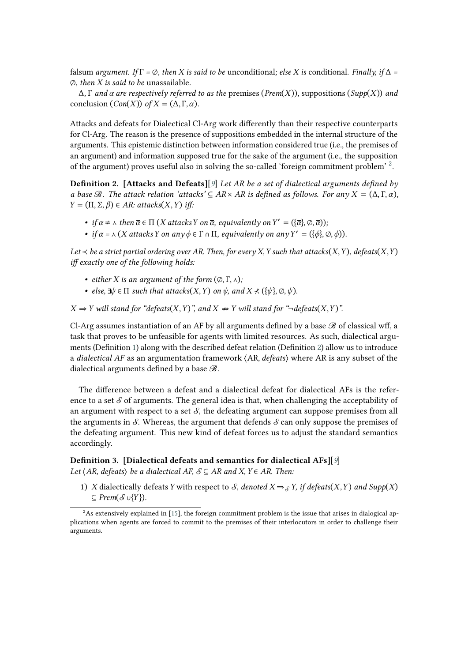falsum *argument.* If  $\Gamma = \emptyset$ , then *X* is said to be unconditional; else *X* is conditional. Finally, if  $\Delta =$ ∅*, then is said to be* unassailable*.*

 $\Delta$ ,  $\Gamma$  *and*  $\alpha$  *are respectively referred to as the* premises (*Prem*(*X*)), suppositions (*Supp*(*X*)) *and* conclusion  $(Con(X))$  *of*  $X = (\Delta, \Gamma, \alpha)$ *.* 

Attacks and defeats for Dialectical Cl-Arg work differently than their respective counterparts for Cl-Arg. The reason is the presence of suppositions embedded in the internal structure of the arguments. This epistemic distinction between information considered true (i.e., the premises of an argument) and information supposed true for the sake of the argument (i.e., the supposition of the argument) proves useful also in solving the so-called 'foreign commitment problem' <sup>[2](#page-2-0)</sup>.

**Definition 2. [Attacks and Defeats]**[*[9](#page-14-2)*] *Let AR be a set of dialectical arguments defined by a base*  $\mathcal{B}$ *. The attack relation 'attacks'*  $\subseteq$  *AR*  $\times$  *AR is defined as follows. For any*  $X = (\Delta, \Gamma, \alpha)$ *,*  $Y = (\Pi, \Sigma, \beta) \in AR$ :  $attack(X, Y)$  *iff*:

- <span id="page-2-1"></span>• *if*  $\alpha \neq \lambda$  *then*  $\overline{\alpha} \in \Pi$  (*X* attacks *Y* on  $\overline{\alpha}$ , equivalently on  $Y' = (\{\overline{\alpha}\}, \emptyset, \overline{\alpha})$ );
- *if*  $\alpha$  =  $\land$  (*X* attacks *Y* on any  $\phi \in \Gamma \cap \Pi$ , equivalently on any  $Y' = (\{\phi\}, \emptyset, \phi)$ ).

*Let*  $\prec$  *be a strict partial ordering over AR. Then, for every X, Y such that attacks*(*X,Y*)*, defeats*(*X,Y*) *iff exactly one of the following holds:*

- *either X* is an argument of the form  $(\emptyset, \Gamma, \wedge)$ ;
- *• else*,  $\exists \psi \in \Pi$  *such that attacks*(*X,Y*) *on*  $\psi$ *, and X*  $\prec$  ({ $\psi$ }*,* ⊘*,*  $\psi$ *).*

 $X$   $\Rightarrow$  *Y* will stand for "*defeats*(*X,Y*)", and *X*  $\Rightarrow$  *Y* will stand for "¬*defeats*(*X,Y*)".

Cl-Arg assumes instantiation of an AF by all arguments defined by a base  $\mathcal B$  of classical wff, a task that proves to be unfeasible for agents with limited resources. As such, dialectical arguments (Definition [1\)](#page-1-1) along with the described defeat relation (Definition [2\)](#page-2-1) allow us to introduce a *dialectical AF* as an argumentation framework ⟨AR, *defeats*⟩ where AR is any subset of the dialectical arguments defined by a base ℬ.

The difference between a defeat and a dialectical defeat for dialectical AFs is the reference to a set  $\mathcal S$  of arguments. The general idea is that, when challenging the acceptability of an argument with respect to a set  $S$ , the defeating argument can suppose premises from all the arguments in  $\mathcal{S}$ . Whereas, the argument that defends  $\mathcal{S}$  can only suppose the premises of the defeating argument. This new kind of defeat forces us to adjust the standard semantics accordingly.

### <span id="page-2-2"></span>**Definition 3. [Dialectical defeats and semantics for dialectical AFs]**[*[9](#page-14-2)*] *Let*  $\langle AR, \text{defeats} \rangle$  *be a dialectical AF,*  $S \subseteq AR$  *and*  $X, Y \in AR$ *. Then:*

1) *X* dialectically defeats *Y* with respect to *S*, denoted  $X \Rightarrow_S Y$ , if defeats(*X*, *Y*) and Supp(*X*)  $\subseteq$  *Prem*( $\mathcal{S}$  ∪{Y}).

<span id="page-2-0"></span> ${}^{2}$ As extensively explained in [\[15\]](#page-14-8), the foreign commitment problem is the issue that arises in dialogical applications when agents are forced to commit to the premises of their interlocutors in order to challenge their arguments.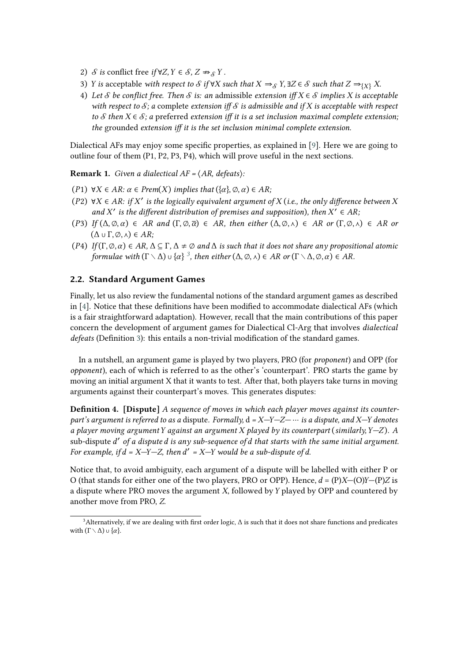- 2) *S* is conflict free *if*  $\forall Z, Y \in S, Z \Rightarrow_S Y$ .
- 3) *Y* is acceptable *with respect to*  $S$  if  $\forall X$  such that  $X \Rightarrow_S Y$ ,  $\exists Z \in S$  such that  $Z \Rightarrow_{\{X\}} X$ .
- <span id="page-3-1"></span>4) Let *S* be conflict free. Then *S* is: an admissible extension iff  $X \in S$  implies *X* is acceptable *with respect to*  $\mathcal{S}_i$  *a* complete *extension iff*  $\mathcal{S}$  *is admissible and if*  $X$  *is acceptable with respect to*  $S$  *then*  $X \in S$ ; a preferred *extension iff it is a set inclusion maximal complete extension; the* grounded *extension iff it is the set inclusion minimal complete extension.*

Dialectical AFs may enjoy some specific properties, as explained in [\[9\]](#page-14-2). Here we are going to outline four of them (P1, P2, P3, P4), which will prove useful in the next sections.

**Remark 1.** *Given a dialectical AF =* ⟨*AR, defeats*⟩*:*

- (P1)  $\forall X \in AR$ :  $\alpha \in Prem(X)$  *implies that*  $({\alpha},{\beta},\alpha) \in AR$ ;
- $(P2)$  ∀X  $\in$  AR: if X' is the logically equivalent argument of X (*i.e., the only difference between* X and  $X'$  is the different distribution of premises and supposition), then  $X' \in AR$
- (P3) *If*  $(\Delta, \emptyset, \alpha) \in AR$  and  $(\Gamma, \emptyset, \overline{\alpha}) \in AR$ , then either  $(\Delta, \emptyset, \wedge) \in AR$  or  $(\Gamma, \emptyset, \wedge) \in AR$  or  $(\Delta \cup \Gamma, \emptyset, \wedge) \in AR;$
- (P4) *If*  $(\Gamma, \emptyset, \alpha) \in AR$ ,  $\Delta \subseteq \Gamma$ ,  $\Delta \neq \emptyset$  and  $\Delta$  is such that it does not share any propositional atomic *formulaewith*  $(\Gamma \setminus \Delta) \cup \{\alpha\}^3$ , then either  $(\Delta, \emptyset, \wedge) \in AR$  or  $(\Gamma \setminus \Delta, \emptyset, \alpha) \in AR$ .

### **2.2. Standard Argument Games**

Finally, let us also review the fundamental notions of the standard argument games as described in [\[4\]](#page-13-1). Notice that these definitions have been modified to accommodate dialectical AFs (which is a fair straightforward adaptation). However, recall that the main contributions of this paper concern the development of argument games for Dialectical Cl-Arg that involves *dialectical defeats* (Definition [3\)](#page-2-2): this entails a non-trivial modification of the standard games.

In a nutshell, an argument game is played by two players, PRO (for *proponent*) and OPP (for *opponent*), each of which is referred to as the other's 'counterpart'. PRO starts the game by moving an initial argument X that it wants to test. After that, both players take turns in moving arguments against their counterpart's moves. This generates disputes:

**Definition 4. [Dispute]** *A sequence of moves in which each player moves against its counterpart's argument is referred to as a* dispute*. Formally,* d *= ———* ⋯ *is a dispute, and — denotes a player moving argument against an argument played by its counterpart* (*similarly, —* )*. A* sub-dispute ′ *of a dispute is any sub-sequence of that starts with the same initial argument.* For example, if  $d = X - Y - Z$ , then  $d' = X - Y$  would be a sub-dispute of d.

Notice that, to avoid ambiguity, each argument of a dispute will be labelled with either P or O (that stands for either one of the two players, PRO or OPP). Hence,  $d = (P)X-(O)Y-(P)Z$  is a dispute where PRO moves the argument  $X$ , followed by  $Y$  played by OPP and countered by another move from PRO, Z.

<span id="page-3-0"></span><sup>&</sup>lt;sup>3</sup>Alternatively, if we are dealing with first order logic,  $\Delta$  is such that it does not share functions and predicates with  $(\Gamma \setminus \Delta) \cup {\alpha}$ .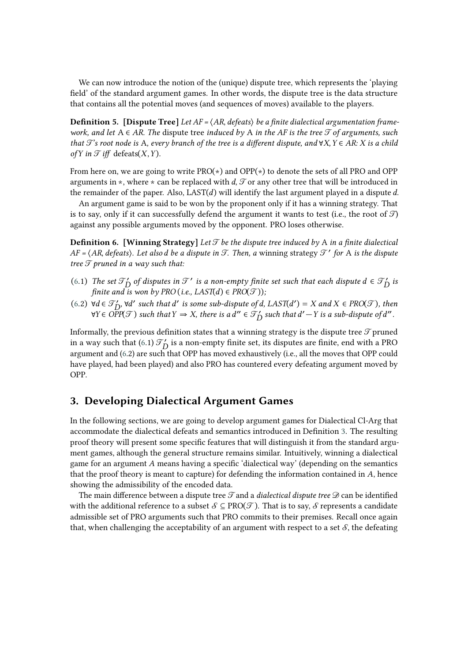We can now introduce the notion of the (unique) dispute tree, which represents the 'playing field' of the standard argument games. In other words, the dispute tree is the data structure that contains all the potential moves (and sequences of moves) available to the players.

**Definition 5. [Dispute Tree]** *Let AF =* ⟨*AR*, *defeats*⟩ *be a finite dialectical argumentation framework, and let* A ∈ *AR. The* dispute tree *induced by* A *in the AF is the tree of arguments, such that*  $\mathcal{T}$ 's root node is A, every branch of the tree is a different dispute, and  $\forall X, Y \in AR$ : X is a child *of*  $Y$  *in*  $\mathcal{T}$  *iff* defeats( $X, Y$ ).

From here on, we are going to write PRO(∗) and OPP(∗) to denote the sets of all PRO and OPP arguments in  $\star$ , where  $\star$  can be replaced with d,  $\mathcal T$  or any other tree that will be introduced in the remainder of the paper. Also,  $LAST(d)$  will identify the last argument played in a dispute  $d$ .

<span id="page-4-0"></span>An argument game is said to be won by the proponent only if it has a winning strategy. That is to say, only if it can successfully defend the argument it wants to test (i.e., the root of  $\mathcal{F}$ ) against any possible arguments moved by the opponent. PRO loses otherwise.

**Definition 6. [Winning Strategy]** Let  $\mathcal{T}$  be the dispute tree induced by A in a finite dialectical *AF* =  $\langle$ *AR*, *defeats* $\rangle$ *. Let also d be a dispute in*  $\mathcal{T}$ *. Then, a winning strategy*  $\mathcal{T}'$  *for A is the dispute tree*  $\mathcal T$  pruned in a way such that:

- [\(6.](#page-4-0)1) The set  $\mathcal{T}'_D$  of disputes in  $\mathcal{T}'$  is a non-empty finite set such that each dispute  $d \in \mathcal{T}'_D$  is *finite and is won by PRO* (*i.e., LAST*(*d*)  $\in \text{PRO}(\mathcal{T})$ );
- $(6.2)$  $(6.2)$  ∀ $d \in \mathcal{T}'_D$ , ∀ $d'$  such that  $d'$  is some sub-dispute of  $d$ , LAST $(d') = X$  and  $X \in \text{PRO}(\mathcal{T})$ , then ∀Y ∈ *OPP*( $\mathcal{T}$ ) such that  $Y \Rightarrow X$ , there is a d″ ∈  $\mathcal{T}'_D$  such that d′  $-Y$  is a sub-dispute of d″ .

Informally, the previous definition states that a winning strategy is the dispute tree  $\mathcal T$  pruned in a way such that [\(6.](#page-4-0)1)  $\mathcal{T}'_D$  is a non-empty finite set, its disputes are finite, end with a PRO argument and [\(6.](#page-4-0)2) are such that OPP has moved exhaustively (i.e., all the moves that OPP could have played, had been played) and also PRO has countered every defeating argument moved by OPP.

### **3. Developing Dialectical Argument Games**

In the following sections, we are going to develop argument games for Dialectical Cl-Arg that accommodate the dialectical defeats and semantics introduced in Definition [3.](#page-2-2) The resulting proof theory will present some specific features that will distinguish it from the standard argument games, although the general structure remains similar. Intuitively, winning a dialectical game for an argument  $A$  means having a specific 'dialectical way' (depending on the semantics that the proof theory is meant to capture) for defending the information contained in  $A$ , hence showing the admissibility of the encoded data.

The main difference between a dispute tree  $\mathcal T$  and a *dialectical dispute tree*  $\mathcal D$  can be identified with the additional reference to a subset  $\mathcal{S} \subseteq PRO(\mathcal{T})$ . That is to say,  $\mathcal{S}$  represents a candidate admissible set of PRO arguments such that PRO commits to their premises. Recall once again that, when challenging the acceptability of an argument with respect to a set  $S$ , the defeating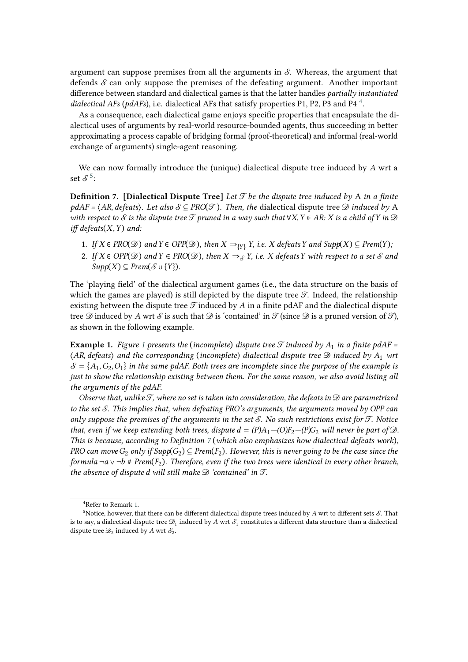argument can suppose premises from all the arguments in  $S$ . Whereas, the argument that defends  $\mathcal S$  can only suppose the premises of the defeating argument. Another important difference between standard and dialectical games is that the latter handles *partially instantiated* dialectical AFs (pdAFs), i.e. dialectical AFs that satisfy properties P1, P2, P3 and P[4](#page-5-0)<sup>4</sup>.

As a consequence, each dialectical game enjoys specific properties that encapsulate the dialectical uses of arguments by real-world resource-bounded agents, thus succeeding in better approximating a process capable of bridging formal (proof-theoretical) and informal (real-world exchange of arguments) single-agent reasoning.

<span id="page-5-2"></span>We can now formally introduce the (unique) dialectical dispute tree induced by *A* wrt a set  $S^5$  $S^5$ :

**Definition 7. [Dialectical Dispute Tree]** *Let*  $\mathcal{T}$  *be the dispute tree induced by* A *in a finite pdAF* =  $\langle AR, defeats \rangle$ *. Let also*  $S \subseteq PRO(\mathcal{T})$ *. Then, the dialectical dispute tree*  $\mathcal{D}$  *induced by* A *with respect to*  $\mathcal S$  *is the dispute tree*  $\mathcal T$  *pruned in a way such that*  $\forall X, Y \in \mathbb A$ *R:*  $X$  *is a child of*  $Y$  *in*  $\mathcal D$  $iff$  *defeats* $(X, Y)$  *and:* 

- 1. *If*  $X \in \text{PRO}(\mathcal{D})$  and  $Y \in \text{OPP}(\mathcal{D})$ , then  $X \Rightarrow_{\{Y\}} Y$ , i.e.  $X$  defeats  $Y$  and  $\text{Supp}(X) \subseteq \text{Prem}(Y)$ ;
- 2. *If*  $X \in \text{OPP}(\mathcal{D})$  and  $Y \in \text{PRO}(\mathcal{D})$ , then  $X \Rightarrow_{\mathcal{S}} Y$ , i.e. X defeats Y with respect to a set S and  $Supp(X) \subseteq Prem(\mathcal{S} \cup \{Y\}).$

The 'playing field' of the dialectical argument games (i.e., the data structure on the basis of which the games are played) is still depicted by the dispute tree  $\mathcal{T}$ . Indeed, the relationship existing between the dispute tree  $\mathcal T$  induced by  $A$  in a finite pdAF and the dialectical dispute tree  $\mathscr D$  induced by A wrt  $\mathscr S$  is such that  $\mathscr D$  is 'contained' in  $\mathscr T$  (since  $\mathscr D$  is a pruned version of  $\mathscr T$ ), as shown in the following example.

**Example [1](#page-6-0).** *Figure* 1 *presents the* (*incomplete*) dispute tree  $\mathcal{T}$  induced by  $A_1$  in a finite pdAF = ⟨*AR*, *defeats*⟩ *and the corresponding* (*incomplete*) *dialectical dispute tree induced by* <sup>1</sup> *wrt*  $S = \{A_1, G_2, O_1\}$  in the same pdAF. Both trees are incomplete since the purpose of the example is *just to show the relationship existing between them. For the same reason, we also avoid listing all the arguments of the pdAF.*

*Observe that, unlike*  $\mathcal{T}$ *, where no set is taken into consideration, the defeats in*  $\mathcal{D}$  are parametrized *to the set . This implies that, when defeating PRO's arguments, the arguments moved by OPP can only suppose the premises of the arguments in the set <i>S*. No such restrictions exist for  $\mathcal{T}$ . Notice *that, even if we keep extending both trees, dispute*  $d = (P)A_1 - (O)F_2 - (P)G_2$  *will never be part of*  $\mathcal{D}$ *. This is because, according to Definition [7](#page-5-2)* (*which also emphasizes how dialectical defeats work*)*,*  $PRO$  can move  $G_2$  only if  $Supp(G_2) \subseteq Prem(F_2).$  However, this is never going to be the case since the *formula* ¬a ∨ ¬b ∉ Prem(F<sub>2</sub>). Therefore, even if the two trees were identical in every other branch, *the absence of dispute d will still make*  $\mathcal D$  *'contained' in*  $\mathcal T$ *.* 

<span id="page-5-1"></span><span id="page-5-0"></span><sup>4</sup>Refer to Remark [1.](#page-3-1)

<sup>&</sup>lt;sup>5</sup>Notice, however, that there can be different dialectical dispute trees induced by  $A$  wrt to different sets  $S$ . That is to say, a dialectical dispute tree  $\mathscr{D}_1$  induced by  $A$  wrt  $\mathscr{S}_1$  constitutes a different data structure than a dialectical dispute tree  $\mathcal{D}_2$  induced by A wrt  $\mathcal{S}_2$ .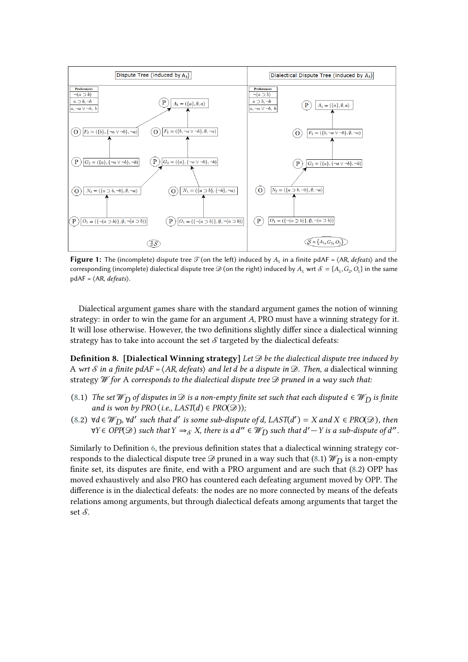

<span id="page-6-0"></span>**Figure 1:** The (incomplete) dispute tree  $\mathcal{T}$  (on the left) induced by  $A_1$  in a finite pdAF =  $\langle$ AR, *defeats* $\rangle$  and the corresponding (incomplete) dialectical dispute tree  $\mathscr{D}$  (on the right) induced by  $A_1$  wrt  $\mathscr{S} = \{A_1, G_2, O_1\}$  in the same pdAF = ⟨AR, *defeats*⟩.

<span id="page-6-1"></span>Dialectical argument games share with the standard argument games the notion of winning strategy: in order to win the game for an argument *A*, PRO must have a winning strategy for it. It will lose otherwise. However, the two definitions slightly differ since a dialectical winning strategy has to take into account the set  $\mathcal S$  targeted by the dialectical defeats:

**Definition 8. [Dialectical Winning strategy]** *Let be the dialectical dispute tree induced by* A wrt *S* in a finite pdAF =  $\langle AR, defeats \rangle$  and let *d* be a dispute in  $\mathcal{D}$ . Then, a dialectical winning strategy *for* A *corresponds to the dialectical dispute tree pruned in a way such that:*

- [\(8.](#page-6-1)1) *The set*  $\mathcal{W}_D$  *of disputes in*  $\mathcal{D}$  *is a non-empty finite set such that each dispute*  $d \in \mathcal{W}_D$  *is finite and is won by PRO* (*i.e., LAST*( $d$ )  $\in$  *PRO*( $\mathcal{D}$ ));
- $(8.2)$  $(8.2)$  ∀ $d \in \mathcal{W}_D$ , ∀ $d'$  such that  $d'$  is some sub-dispute of  $d$ , LAST $(d') = X$  and  $X \in \text{PRO}(\mathcal{D})$ , then ∀Y ∈ OPP $(\mathscr{D})$  such that  $Y \Rightarrow_{\mathscr{S}} X$ , there is a d″ ∈  $\mathscr{W}_{D}$  such that d'  $-Y$  is a sub-dispute of d".

Similarly to Definition [6,](#page-4-0) the previous definition states that a dialectical winning strategy corresponds to the dialectical dispute tree  $\mathscr{D}$  pruned in a way such that [\(8.](#page-6-1)1)  $\mathscr{W}_D$  is a non-empty finite set, its disputes are finite, end with a PRO argument and are such that [\(8.](#page-6-1)2) OPP has moved exhaustively and also PRO has countered each defeating argument moved by OPP. The difference is in the dialectical defeats: the nodes are no more connected by means of the defeats relations among arguments, but through dialectical defeats among arguments that target the set  $S$ .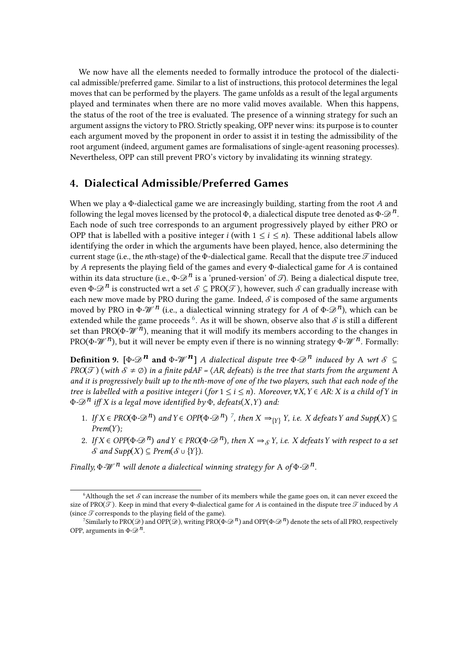We now have all the elements needed to formally introduce the protocol of the dialectical admissible/preferred game. Similar to a list of instructions, this protocol determines the legal moves that can be performed by the players. The game unfolds as a result of the legal arguments played and terminates when there are no more valid moves available. When this happens, the status of the root of the tree is evaluated. The presence of a winning strategy for such an argument assigns the victory to PRO. Strictly speaking, OPP never wins: its purpose is to counter each argument moved by the proponent in order to assist it in testing the admissibility of the root argument (indeed, argument games are formalisations of single-agent reasoning processes). Nevertheless, OPP can still prevent PRO's victory by invalidating its winning strategy.

### **4. Dialectical Admissible/Preferred Games**

When we play a Φ-dialectical game we are increasingly building, starting from the root *A* and following the legal moves licensed by the protocol  $\Phi$ , a dialectical dispute tree denoted as  $\Phi \otimes \mathcal{D}^n$ . Each node of such tree corresponds to an argument progressively played by either PRO or OPP that is labelled with a positive integer *i* (with  $1 \le i \le n$ ). These additional labels allow identifying the order in which the arguments have been played, hence, also determining the current stage (i.e., the nth-stage) of the Φ-dialectical game. Recall that the dispute tree  $\mathcal T$  induced by *A* represents the playing field of the games and every Φ-dialectical game for *A* is contained within its data structure (i.e.,  $\Phi \rightarrow \mathcal{D}^n$  is a 'pruned-version' of  $\mathcal{I}$ ). Being a dialectical dispute tree, even  $\Phi$ - $\mathscr{D}^n$  is constructed wrt a set  $\mathscr{S} \subset \text{PRO}(\mathscr{T})$ , however, such  $\mathscr{S}$  can gradually increase with each new move made by PRO during the game. Indeed,  $\mathcal S$  is composed of the same arguments moved by PRO in  $\Phi$ - $\mathcal{W}^n$  (i.e., a dialectical winning strategy for *A* of  $\Phi$ - $\mathcal{D}^n$ ), which can be extended while the game proceeds  $^6$  $^6$ . As it will be shown, observe also that  $\mathcal S$  is still a different set than PRO( $\Phi$ - $\mathcal{W}^n$ ), meaning that it will modify its members according to the changes in PRO( $\Phi$ - $\mathcal{W}^n$ ), but it will never be empty even if there is no winning strategy  $\Phi$ - $\mathcal{W}^n$ . Formally:

**Definition 9.**  $[\Phi \otimes \mathbb{R}^n]$  **and**  $\Phi \otimes \mathbb{R}^n$  *A dialectical dispute tree*  $\Phi \otimes \mathbb{R}^n$  *induced by* A *wrt*  $\mathcal{S} \subseteq$ *PRO*( $\mathcal{T}$ ) (*with*  $\mathcal{S} \neq \emptyset$ ) *in a finite pdAF* =  $\langle AR, \text{defeats} \rangle$  *is the tree that starts from the argument* A *and it is progressively built up to the th-move of one of the two players, such that each node of the tree is labelled with a positive integer <i>i* (*for*  $1 \le i \le n$ *). Moreover,*  $\forall X, Y \in AR: X$  *is a child of Y in*  $\Phi$ - $\mathscr{D}^n$  *iff* X is a legal move identified by  $\Phi$ *, defeats*(X, Y) and:

- <span id="page-7-2"></span>1. *If*  $X \in \text{PRO}(\Phi \cdot \mathcal{D}^n)$  and  $Y \in \text{OPP}(\Phi \cdot \mathcal{D}^n)$ <sup>[7](#page-7-1)</sup>, then  $X \Rightarrow_{\{Y\}} Y$ , i.e.  $X$  defeats  $Y$  and  $\text{Supp}(X) \subseteq Y$ *Prem* $(Y)$ *;*
- 2. *If*  $X \in \text{OPP}(\Phi \cdot \mathcal{D}^n)$  and  $Y \in \text{PRO}(\Phi \cdot \mathcal{D}^n)$ , then  $X \Rightarrow_S Y$ , i.e. X defeats Y with respect to a set *S* and *Supp*(*X*) ⊆ *Prem*( $S \cup \{Y\}$ ).

*Finally,*  $\Phi$ *-* $\mathcal{W}^n$  *will denote a dialectical winning strategy for* A *of*  $\Phi$ - $\mathcal{D}^n$ .

<span id="page-7-0"></span> $6$ Although the set  $\mathcal S$  can increase the number of its members while the game goes on, it can never exceed the size of PRO( $\mathcal{T}$ ). Keep in mind that every  $\Phi$ -dialectical game for *A* is contained in the dispute tree  $\mathcal{T}$  induced by *A* (since  $\mathcal T$  corresponds to the playing field of the game).

<span id="page-7-1"></span><sup>&</sup>lt;sup>7</sup>Similarly to PRO( $\mathscr{D}$ ) and OPP( $\mathscr{D}$ ), writing PRO( $\Phi \mathscr{D}^n$ ) and OPP( $\Phi \mathscr{D}^n$ ) denote the sets of all PRO, respectively OPP, arguments in  $\Phi$ - $\mathcal{D}^n$ .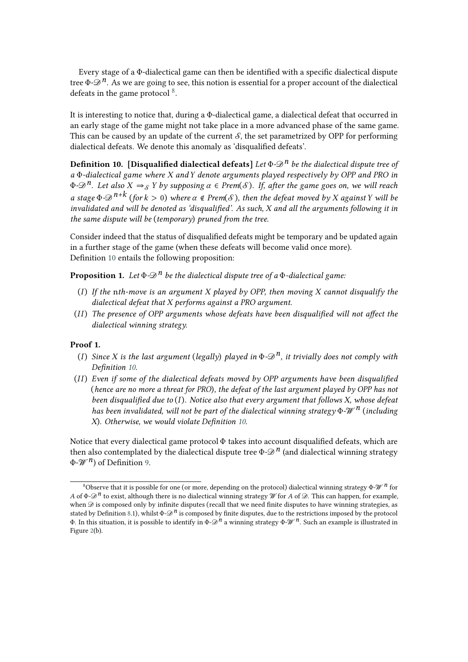Every stage of a Φ-dialectical game can then be identified with a specific dialectical dispute tree  $\Phi \text{-} \mathcal{D}^n$ . As we are going to see, this notion is essential for a proper account of the dialectical defeats in the game protocol  $8$ .

It is interesting to notice that, during a Φ-dialectical game, a dialectical defeat that occurred in an early stage of the game might not take place in a more advanced phase of the same game. This can be caused by an update of the current  $S$ , the set parametrized by OPP for performing dialectical defeats. We denote this anomaly as 'disqualified defeats'.

<span id="page-8-1"></span>**Definition 10. [Disqualified dialectical defeats]** *Let* Φ*-n be the dialectical dispute tree of a* Φ*-dialectical game where and denote arguments played respectively by OPP and PRO in*  $\Phi$ - $\mathscr{D}^n$ . Let also  $X \Rightarrow_{\mathcal{S}} Y$  by supposing  $\alpha \in Prem(\mathcal{S})$ . If, after the game goes on, we will reach *a* stage  $\Phi$ - $\mathscr{D}^{n+k}$  (for  $k > 0$ ) where  $\alpha \notin Prem(S)$ , then the defeat moved by X against Y will be invalidated and will be denoted as 'disqualified'. As such, X and all the arguments following it in *the same dispute will be* (*temporary*) *pruned from the tree.*

Consider indeed that the status of disqualified defeats might be temporary and be updated again in a further stage of the game (when these defeats will become valid once more). Definition [10](#page-8-1) entails the following proposition:

**Proposition 1.** *Let*  $\Phi \text{-} \mathcal{D}^n$  *be the dialectical dispute tree of a*  $\Phi$ *-dialectical game:* 

- ( ) *If the* n*th-move is an argument played by OPP, then moving cannot disqualify the dialectical defeat that performs against a PRO argument.*
- (II) The presence of OPP arguments whose defeats have been disqualified will not affect the *dialectical winning strategy.*

#### **Proof 1.**

- (*I*) *Since X* is the last argument (*legally*) *played in*  $\Phi$ - $\mathcal{D}^n$ , *it trivially does not comply with Definition [10.](#page-8-1)*
- (II) Even if some of the dialectical defeats moved by OPP arguments have been disqualified (*hence are no more a threat for PRO*)*, the defeat of the last argument played by OPP has not been disqualified due to* ( )*. Notice also that every argument that follows X, whose defeat has been invalidated, will not be part of the dialectical winning strategy* Φ- $\mathcal{W}^n$  (*including X*)*. Otherwise, we would violate Definition [10.](#page-8-1)*

Notice that every dialectical game protocol Φ takes into account disqualified defeats, which are then also contemplated by the dialectical dispute tree  $\Phi \text{-} \mathcal{D}^n$  (and dialectical winning strategy Φ- *n*) of Definition [9.](#page-7-2)

<span id="page-8-0"></span><sup>8</sup>Observe that it is possible for one (or more, depending on the protocol) dialectical winning strategy Φ- *n* for *A* of  $\Phi$ - $\mathscr{D}^n$  to exist, although there is no dialectical winning strategy *W* for *A* of  $\mathscr{D}$ . This can happen, for example, when  $\mathcal D$  is composed only by infinite disputes (recall that we need finite disputes to have winning strategies, as stated by Definition [8.](#page-6-1)1), whilst  $\Phi \mathcal{D}^n$  is composed by finite disputes, due to the restrictions imposed by the protocol Φ. In this situation, it is possible to identify in  $\Phi \text{-} \mathcal{D}^n$  a winning strategy  $\Phi \text{-} \mathcal{W}^n$ . Such an example is illustrated in Figure [2\(](#page-11-0)b).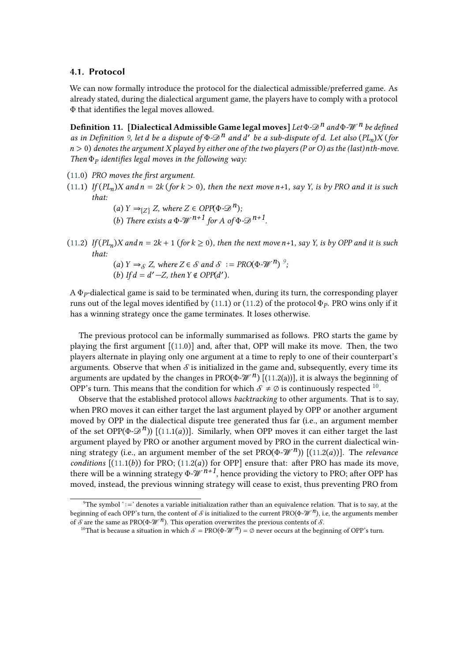#### **4.1. Protocol**

<span id="page-9-0"></span>We can now formally introduce the protocol for the dialectical admissible/preferred game. As already stated, during the dialectical argument game, the players have to comply with a protocol Φ that identifies the legal moves allowed.

**Definition 11. [Dialectical Admissible Game legal moves]** *Let* Φ*-n and* Φ*- n be defined as in Definition* [9,](#page-7-2) let *d* be a dispute of  $\Phi \text{-} \mathcal{D}^n$  and *d'* be a sub-dispute of *d.* Let also  $(PL_n)X$  (for  $n > 0$ ) denotes the argument X played by either one of the two players (P or O) as the (last) nth-move. *Then* Φ *identifies legal moves in the following way:*

- [\(11.](#page-9-0)0) *PRO moves the first argument.*
- [\(11.](#page-9-0)1) If  $(PL_n)X$  and  $n = 2k$  (for  $k > 0$ ), then the next move  $n+1$ , say Y, is by PRO and it is such *that:*
	- $(a) Y \rightarrow_{\{Z\}} Z$ , where  $Z \in OPP(\Phi \rightarrow \mathcal{D}^n)$ ; (b) There exists a  $\Phi$ - $\mathcal{W}^{n+1}$  for A of  $\Phi$ - $\mathcal{D}^{n+1}$ .
- [\(11.](#page-9-0)2) If  $(PL_n)X$  and  $n = 2k + 1$  (for  $k \ge 0$ ), then the next move  $n+1$ , say Y, is by OPP and it is such *that:*
	- $(a) Y \Rightarrow_{\mathcal{S}} Z$ , where  $Z \in \mathcal{S}$  and  $\mathcal{S} := \text{PRO}(\Phi \text{-W}^n)^{\circ}$ ; (b) If  $d = d' - Z$ , then  $Y \notin OPP(d')$ .

A  $\Phi_P$ -dialectical game is said to be terminated when, during its turn, the corresponding player runs out of the legal moves identified by [\(11.](#page-9-0)1) or (11.2) of the protocol  $\Phi_P$ . PRO wins only if it has a winning strategy once the game terminates. It loses otherwise.

The previous protocol can be informally summarised as follows. PRO starts the game by playing the first argument [[\(11.](#page-9-0)0)] and, after that, OPP will make its move. Then, the two players alternate in playing only one argument at a time to reply to one of their counterpart's arguments. Observe that when  $\mathcal S$  is initialized in the game and, subsequently, every time its arguments are updated by the changes in PRO( $\Phi$ - $\mathcal{W}^n$ ) [[\(11.](#page-9-0)2(a))], it is always the beginning of OPP's turn. This means that the condition for which  $S \neq \emptyset$  is continuously respected <sup>[10](#page-9-2)</sup>.

Observe that the established protocol allows *backtracking* to other arguments. That is to say, when PRO moves it can either target the last argument played by OPP or another argument moved by OPP in the dialectical dispute tree generated thus far (i.e., an argument member of the set OPP( $\Phi$ - $\mathcal{D}^n$ )) [[\(11.](#page-9-0)1(*a*))]. Similarly, when OPP moves it can either target the last argument played by PRO or another argument moved by PRO in the current dialectical winning strategy (i.e., an argument member of the set  $PRO(p-\mathcal{W}^n)$ )  $[(11.2(a))]$  $[(11.2(a))]$  $[(11.2(a))]$ . The *relevance conditions*  $[(11.1(b))$  $[(11.1(b))$  $[(11.1(b))$  for PRO;  $(11.2(a))$  for OPP] ensure that: after PRO has made its move, there will be a winning strategy  $\Phi \mathcal{W}^{n+1}$ , hence providing the victory to PRO; after OPP has moved, instead, the previous winning strategy will cease to exist, thus preventing PRO from

<span id="page-9-1"></span><sup>&</sup>lt;sup>9</sup>The symbol '∶=' denotes a variable initialization rather than an equivalence relation. That is to say, at the beginning of each OPP's turn, the content of *S* is initialized to the current PRO( $\Phi$ - $\mathcal{W}^n$ ), i.e, the arguments member of  $\delta$  are the same as PRO( $\Phi$ - $\mathcal{W}^n$ ). This operation overwrites the previous contents of  $\delta$ .

<span id="page-9-2"></span><sup>&</sup>lt;sup>10</sup>That is because a situation in which  $\mathcal{S} = \text{PRO}(\Phi \text{-} \mathcal{W}^n) = \emptyset$  never occurs at the beginning of OPP's turn.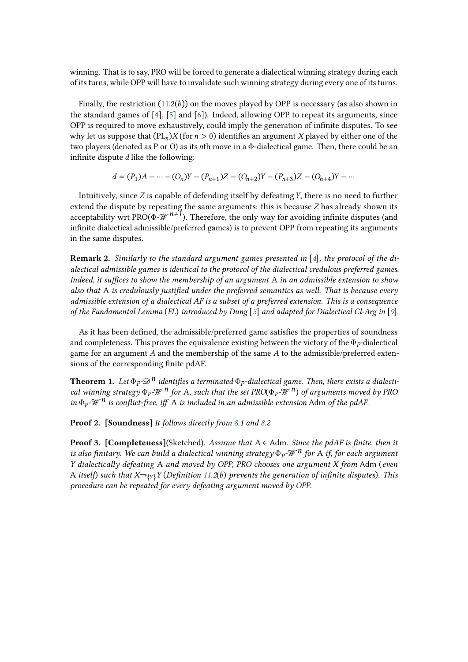winning. That is to say, PRO will be forced to generate a dialectical winning strategy during each of its turns, while OPP will have to invalidate such winning strategy during every one of its turns.

Finally, the restriction  $(11.2(b))$  $(11.2(b))$  on the moves played by OPP is necessary (as also shown in the standard games of  $[4]$ ,  $[5]$  and  $[6]$ ). Indeed, allowing OPP to repeat its arguments, since OPP is required to move exhaustively, could imply the generation of infinite disputes. To see why let us suppose that  $(PL_n)X$  (for  $n > 0$ ) identifies an argument X played by either one of the two players (denoted as P or O) as its th move in a Φ-dialectical game. Then, there could be an infinite dispute  $d$  like the following:

$$
d = (P_1)A - \dots - (O_n)Y - (P_{n+1})Z - (O_{n+2})Y - (P_{n+3})Z - (O_{n+4})Y - \dots
$$

Intuitively, since  $Z$  is capable of defending itself by defeating  $Y$ , there is no need to further extend the dispute by repeating the same arguments: this is because  $Z$  has already shown its acceptability wrt PRO( $\Phi$ - $\mathcal{W}^{n+1}$ ). Therefore, the only way for avoiding infinite disputes (and infinite dialectical admissible/preferred games) is to prevent OPP from repeating its arguments in the same disputes.

**Remark 2.** *Similarly to the standard argument games presented in* [*[4](#page-13-1)*]*, the protocol of the dialectical admissible games is identical to the protocol of the dialectical credulous preferred games. Indeed, it suffices to show the membership of an argument* A *in an admissible extension to show also that* A *is credulously justified under the preferred semantics as well. That is because every admissible extension of a dialectical AF is a subset of a preferred extension. This is a consequence of the Fundamental Lemma* (*FL*) *introduced by Dung* [*[3](#page-13-0)*] *and adapted for Dialectical Cl-Arg in* [*[9](#page-14-2)*]*.*

As it has been defined, the admissible/preferred game satisfies the properties of soundness and completeness. This proves the equivalence existing between the victory of the  $\Phi_P$ -dialectical game for an argument *A* and the membership of the same *A* to the admissible/preferred extensions of the corresponding finite pdAF.

**Theorem 1.** Let  $\Phi_P \text{-} \mathscr{D}^n$  identifies a terminated  $\Phi_P$ -dialectical game. Then, there exists a dialecti*cal winning strategy* Φ *- <sup>n</sup> for* <sup>A</sup>*, such that the set PRO*(Φ *- n*) *of arguments moved by PRO in* Φ *- n is conflict-free, iff* A *is included in an admissible extension* Adm *of the pdAF.*

**Proof 2. [Soundness]** *It follows directly from [8.](#page-6-1)1 and [8.](#page-6-1)2*

**Proof 3. [Completeness]**(Sketched). *Assume that* A ∈ Adm*. Since the pdAF is finite, then it is also finitary. We can build a dialectical winning strategy* Φ *- n for* A *if, for each argument Y dialectically defeating* A *and moved by OPP, PRO chooses one argument X from* Adm (*even* A *itself*) *such that X*⇒{ }*Y* (*Definition [11.](#page-9-0)2*() *prevents the generation of infinite disputes*)*. This procedure can be repeated for every defeating argument moved by OPP.*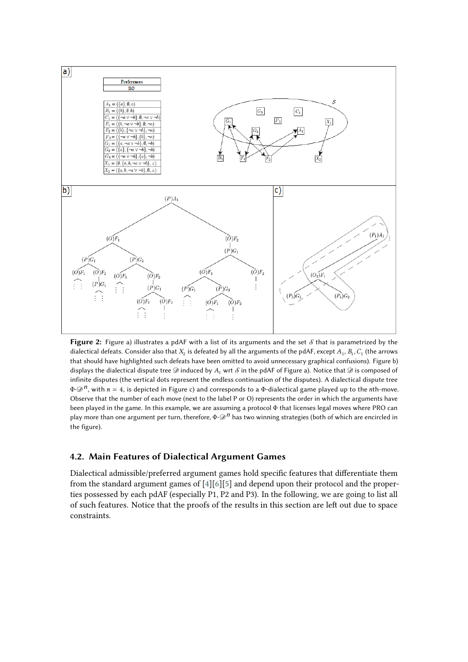

<span id="page-11-0"></span>**Figure 2:** Figure a) illustrates a pdAF with a list of its arguments and the set  $S$  that is parametrized by the dialectical defeats. Consider also that  $X_2$  is defeated by all the arguments of the pdAF, except  $A_1$ ,  $B_1$ ,  $C_1$  (the arrows that should have highlighted such defeats have been omitted to avoid unnecessary graphical confusions). Figure b) displays the dialectical dispute tree  $\mathcal D$  induced by  $A_1$  wrt  $\mathcal S$  in the pdAF of Figure a). Notice that  $\mathcal D$  is composed of infinite disputes (the vertical dots represent the endless continuation of the disputes). A dialectical dispute tree  $\Phi$ - $\mathscr{D}^n$ , with  $n = 4$ , is depicted in Figure c) and corresponds to a  $\Phi$ -dialectical game played up to the *n*th-move. Observe that the number of each move (next to the label P or O) represents the order in which the arguments have been played in the game. In this example, we are assuming a protocol Φ that licenses legal moves where PRO can play more than one argument per turn, therefore, Φ-*n* has two winning strategies (both of which are encircled in the figure).

### **4.2. Main Features of Dialectical Argument Games**

Dialectical admissible/preferred argument games hold specific features that differentiate them from the standard argument games of [\[4\]](#page-13-1)[\[6\]](#page-14-10)[\[5\]](#page-14-9) and depend upon their protocol and the properties possessed by each pdAF (especially P1, P2 and P3). In the following, we are going to list all of such features. Notice that the proofs of the results in this section are left out due to space constraints.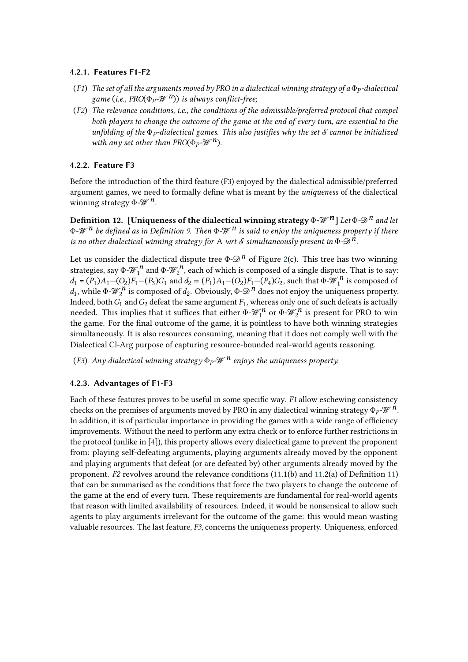#### **4.2.1. Features F1-F2**

- (*F1*) *The set of all the arguments moved by PRO in a dialectical winning strategy of a* Φ *-dialectical game* (*i.e., PRO*(Φ *- n*)) *is always conflict-free;*
- (*F2*) *The relevance conditions, i.e., the conditions of the admissible/preferred protocol that compel both players to change the outcome of the game at the end of every turn, are essential to the unfolding of the* Φ *-dialectical games. This also justifies why the set cannot be initialized* with any set other than  $PRO(\Phi_P \text{-} \mathcal{W}^n)$ .

#### **4.2.2. Feature F3**

Before the introduction of the third feature (F3) enjoyed by the dialectical admissible/preferred argument games, we need to formally define what is meant by the *uniqueness* of the dialectical winning strategy  $\Phi$ - $\mathcal{W}^n$ .

**Definition 12.** [Uniqueness of the dialectical winning strategy  $\Phi$ - $\mathcal{W}^n$ ] Let  $\Phi$ - $\mathcal{D}^n$  and let Φ*- n be defined as in Definition [9.](#page-7-2) Then* Φ*- n is said to enjoy the uniqueness property if there is no other dialectical winning strategy for A wrt*  $S$  *simultaneously present in*  $\Phi \text{-} \mathcal{D}^n$ .

Let us consider the dialectical dispute tree  $\Phi \text{-} \mathcal{D}^n$  of Figure [2\(](#page-11-0)c). This tree has two winning strategies, say  $\Phi$ - $\mathcal{W}_1^n$  and  $\Phi$ - $\mathcal{W}_2^n$ , each of which is composed of a single dispute. That is to say:  $d_1 = (P_1)A_1 - (O_2)F_1 - (P_3)G_1$  and  $d_2 = (P_1)A_1 - (O_2)F_1 - (P_4)G_2$ , such that  $\Phi \sim \mathcal{W}_1^n$  is composed of  $d_1$ , while  $\Phi$ - $\mathcal{W}_2^n$  is composed of  $d_2$ . Obviously,  $\Phi$ - $\mathcal{D}^n$  does not enjoy the uniqueness property. Indeed, both  $G_1$  and  $G_2$  defeat the same argument  $F_1$ , whereas only one of such defeats is actually needed. This implies that it suffices that either  $\Phi$ - $\mathcal{W}_1^n$  or  $\Phi$ - $\mathcal{W}_2^n$  is present for PRO to win the game. For the final outcome of the game, it is pointless to have both winning strategies simultaneously. It is also resources consuming, meaning that it does not comply well with the Dialectical Cl-Arg purpose of capturing resource-bounded real-world agents reasoning.

(F3) Any dialectical winning strategy  $\Phi_P$ - $\mathscr{W}^n$  enjoys the uniqueness property.

#### **4.2.3. Advantages of F1-F3**

Each of these features proves to be useful in some specific way. *F1* allow eschewing consistency checks on the premises of arguments moved by PRO in any dialectical winning strategy  $Φ_P$ - $w^n$ . In addition, it is of particular importance in providing the games with a wide range of efficiency improvements. Without the need to perform any extra check or to enforce further restrictions in the protocol (unlike in [\[4\]](#page-13-1)), this property allows every dialectical game to prevent the proponent from: playing self-defeating arguments, playing arguments already moved by the opponent and playing arguments that defeat (or are defeated by) other arguments already moved by the proponent. *F2* revolves around the relevance conditions [\(11.](#page-9-0)1(b) and [11.](#page-9-0)2(a) of Definition [11\)](#page-9-0) that can be summarised as the conditions that force the two players to change the outcome of the game at the end of every turn. These requirements are fundamental for real-world agents that reason with limited availability of resources. Indeed, it would be nonsensical to allow such agents to play arguments irrelevant for the outcome of the game: this would mean wasting valuable resources. The last feature, *F3*, concerns the uniqueness property. Uniqueness, enforced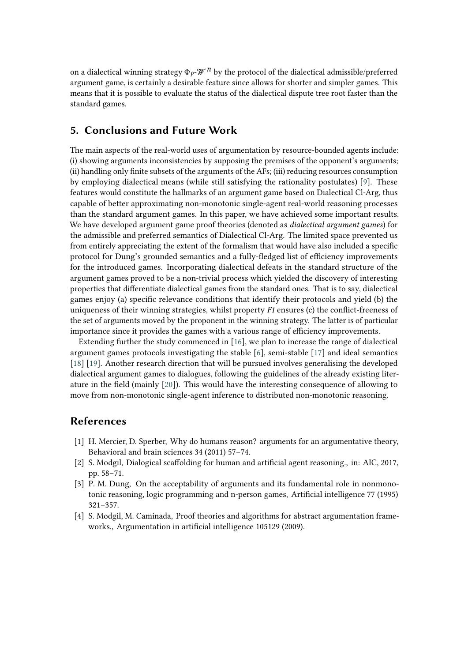on a dialectical winning strategy  $\Phi_P\mathscr{W}^{\,n}$  by the protocol of the dialectical admissible/preferred argument game, is certainly a desirable feature since allows for shorter and simpler games. This means that it is possible to evaluate the status of the dialectical dispute tree root faster than the standard games.

### **5. Conclusions and Future Work**

The main aspects of the real-world uses of argumentation by resource-bounded agents include: (i) showing arguments inconsistencies by supposing the premises of the opponent's arguments; (ii) handling only finite subsets of the arguments of the AFs; (iii) reducing resources consumption by employing dialectical means (while still satisfying the rationality postulates) [\[9\]](#page-14-2). These features would constitute the hallmarks of an argument game based on Dialectical Cl-Arg, thus capable of better approximating non-monotonic single-agent real-world reasoning processes than the standard argument games. In this paper, we have achieved some important results. We have developed argument game proof theories (denoted as *dialectical argument games*) for the admissible and preferred semantics of Dialectical Cl-Arg. The limited space prevented us from entirely appreciating the extent of the formalism that would have also included a specific protocol for Dung's grounded semantics and a fully-fledged list of efficiency improvements for the introduced games. Incorporating dialectical defeats in the standard structure of the argument games proved to be a non-trivial process which yielded the discovery of interesting properties that differentiate dialectical games from the standard ones. That is to say, dialectical games enjoy (a) specific relevance conditions that identify their protocols and yield (b) the uniqueness of their winning strategies, whilst property *F1* ensures (c) the conflict-freeness of the set of arguments moved by the proponent in the winning strategy. The latter is of particular importance since it provides the games with a various range of efficiency improvements.

Extending further the study commenced in [\[16\]](#page-14-11), we plan to increase the range of dialectical argument games protocols investigating the stable  $[6]$ , semi-stable  $[17]$  and ideal semantics [\[18\]](#page-14-13) [\[19\]](#page-14-14). Another research direction that will be pursued involves generalising the developed dialectical argument games to dialogues, following the guidelines of the already existing literature in the field (mainly [\[20\]](#page-14-15)). This would have the interesting consequence of allowing to move from non-monotonic single-agent inference to distributed non-monotonic reasoning.

### **References**

- [1] H. Mercier, D. Sperber, Why do humans reason? arguments for an argumentative theory, Behavioral and brain sciences 34 (2011) 57–74.
- [2] S. Modgil, Dialogical scaffolding for human and artificial agent reasoning., in: AIC, 2017, pp. 58–71.
- <span id="page-13-0"></span>[3] P. M. Dung, On the acceptability of arguments and its fundamental role in nonmonotonic reasoning, logic programming and n-person games, Artificial intelligence 77 (1995) 321–357.
- <span id="page-13-1"></span>[4] S. Modgil, M. Caminada, Proof theories and algorithms for abstract argumentation frameworks., Argumentation in artificial intelligence 105129 (2009).